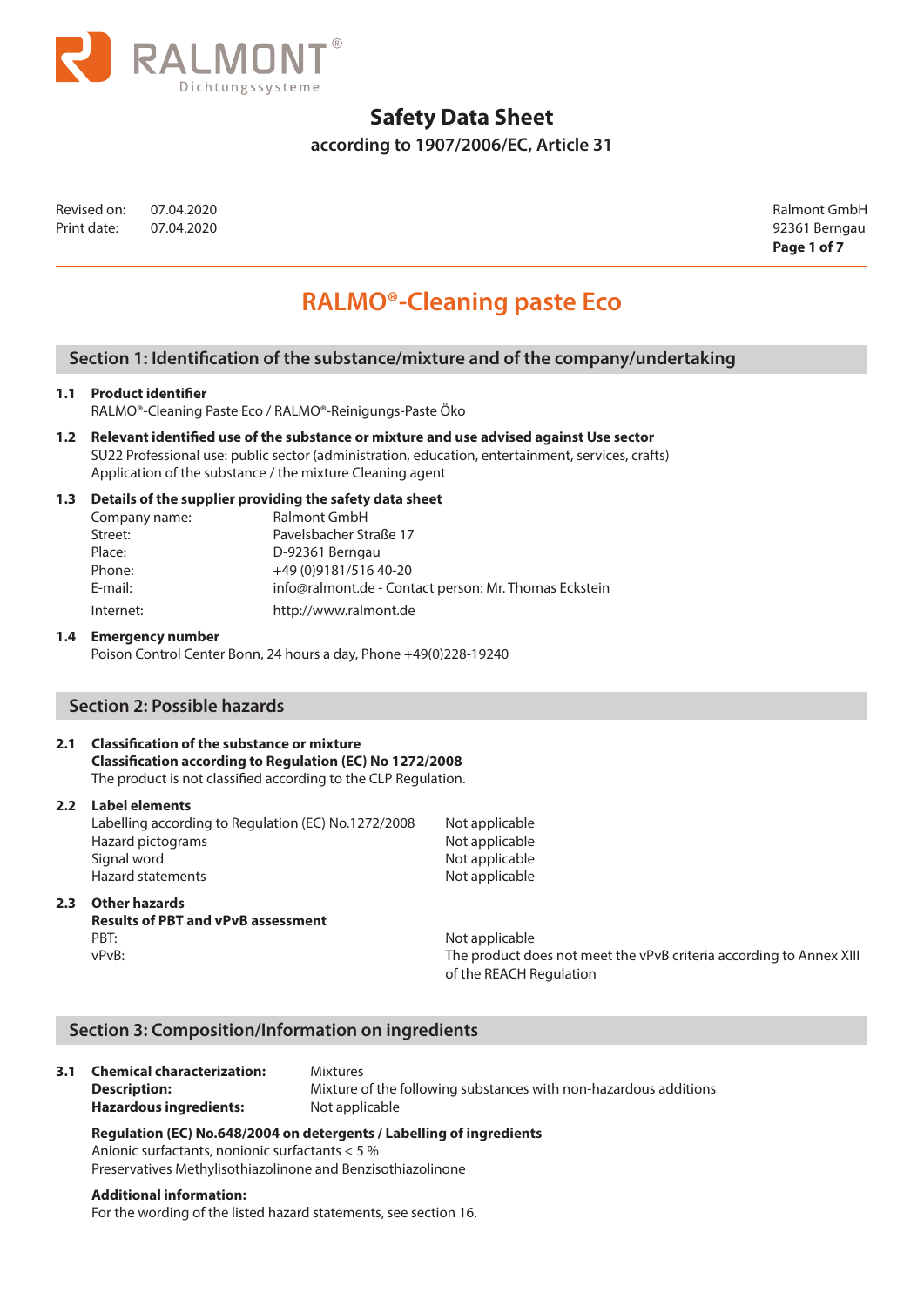

**according to 1907/2006/EC, Article 31**

Revised on: 07.04.2020 Ralmont GmbH Print date: 07.04.2020 92361 Berngau

**Page 1 of 7**

# **RALMO®-Cleaning paste Eco**

# **Section 1: Identification of the substance/mixture and of the company/undertaking**

### **1.1 Product identifier**

RALMO®-Cleaning Paste Eco / RALMO®-Reinigungs-Paste Öko

**1.2 Relevant identified use of the substance or mixture and use advised against Use sector**  SU22 Professional use: public sector (administration, education, entertainment, services, crafts) Application of the substance / the mixture Cleaning agent

### **1.3 Details of the supplier providing the safety data sheet**

| Company name: | Ralmont GmbH                                          |
|---------------|-------------------------------------------------------|
| Street:       | Pavelsbacher Straße 17                                |
| Place:        | D-92361 Berngau                                       |
| Phone:        | +49 (0) 9181/516 40-20                                |
| E-mail:       | info@ralmont.de - Contact person: Mr. Thomas Eckstein |
| Internet:     | http://www.ralmont.de                                 |
|               |                                                       |

## **1.4 Emergency number**

Poison Control Center Bonn, 24 hours a day, Phone +49(0)228-19240

# **Section 2: Possible hazards**

# **2.1 Classification of the substance or mixture**

**Classification according to Regulation (EC) No 1272/2008**  The product is not classified according to the CLP Regulation.

**2.2 Label elements** 

Labelling according to Regulation (EC) No.1272/2008 Not applicable Hazard pictograms Not applicable Signal word **Not applicable** Hazard statements Not applicable

## **2.3 Other hazards**

# **Results of PBT and vPvB assessment**  PBT: Not applicable

vPvB: The product does not meet the vPvB criteria according to Annex XIII of the REACH Regulation

## **Section 3: Composition/Information on ingredients**

|  | 3.1 Chemical characterization:<br><b>Description:</b><br><b>Hazardous ingredients:</b> | <b>Mixtures</b><br>Mixture of the following substances with non-hazardous additions<br>Not applicable |
|--|----------------------------------------------------------------------------------------|-------------------------------------------------------------------------------------------------------|
|--|----------------------------------------------------------------------------------------|-------------------------------------------------------------------------------------------------------|

# **Regulation (EC) No.648/2004 on detergents / Labelling of ingredients**

Anionic surfactants, nonionic surfactants < 5 %

Preservatives Methylisothiazolinone and Benzisothiazolinone

#### **Additional information:**

For the wording of the listed hazard statements, see section 16.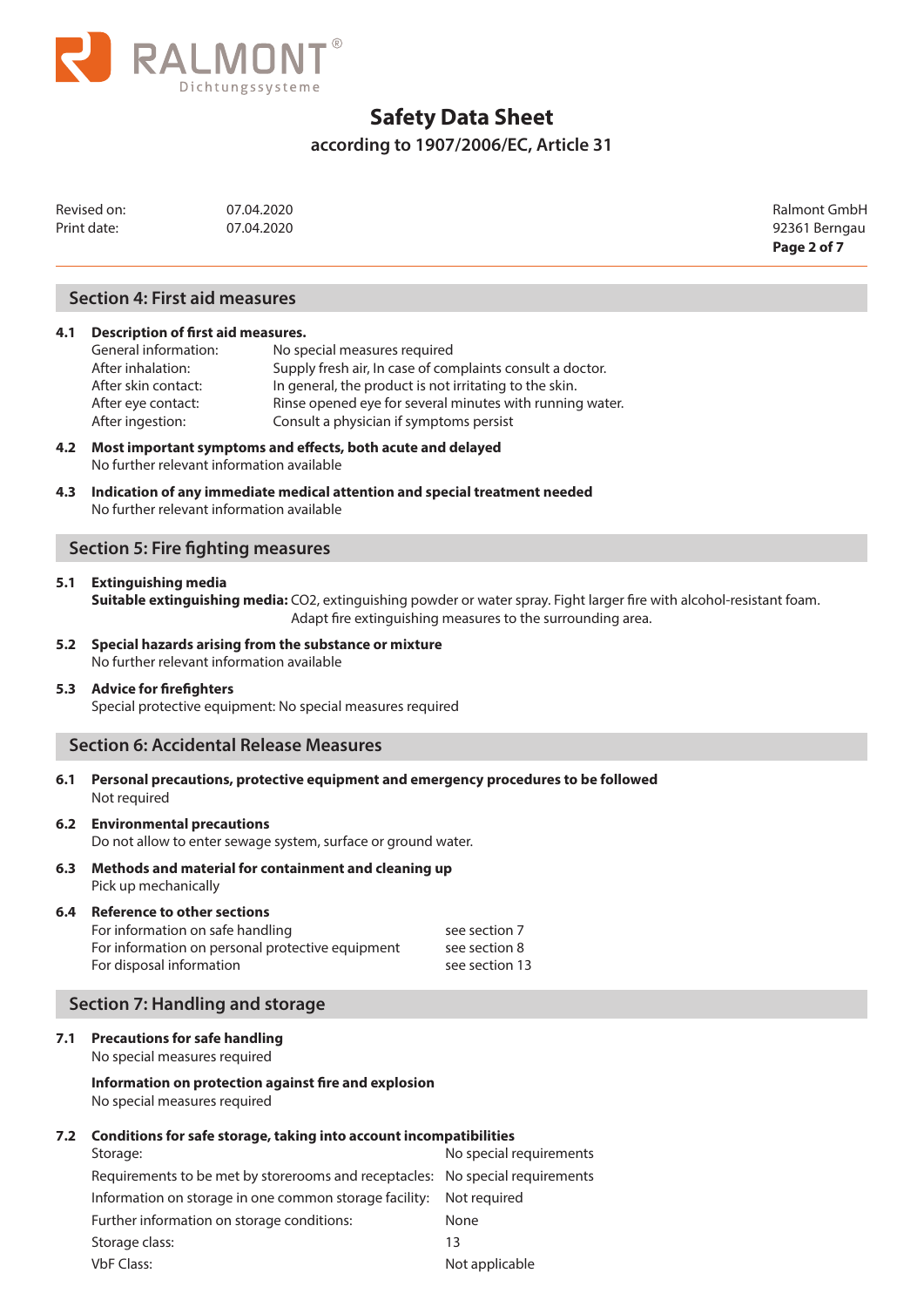

**according to 1907/2006/EC, Article 31**

| Revised on:<br>Print date: | 07.04.2020<br>07.04.2020             | Ralmont GmbH<br>92361 Berngau |
|----------------------------|--------------------------------------|-------------------------------|
|                            |                                      | Page 2 of 7                   |
|                            | <b>Section 4: First aid measures</b> |                               |

### **4.1 Description of first aid measures.**

| General information: | No special measures required                              |
|----------------------|-----------------------------------------------------------|
| After inhalation:    | Supply fresh air, In case of complaints consult a doctor. |
| After skin contact:  | In general, the product is not irritating to the skin.    |
| After eye contact:   | Rinse opened eye for several minutes with running water.  |
| After ingestion:     | Consult a physician if symptoms persist                   |

- **4.2 Most important symptoms and effects, both acute and delayed**  No further relevant information available
- **4.3 Indication of any immediate medical attention and special treatment needed**  No further relevant information available

# **Section 5: Fire fighting measures**

### **5.1 Extinguishing media**

**Suitable extinguishing media:** CO2, extinguishing powder or water spray. Fight larger fire with alcohol-resistant foam. Adapt fire extinguishing measures to the surrounding area.

**5.2 Special hazards arising from the substance or mixture**  No further relevant information available

### **5.3 Advice for firefighters**

Special protective equipment: No special measures required

## **Section 6: Accidental Release Measures**

**6.1 Personal precautions, protective equipment and emergency procedures to be followed** Not required

## **6.2 Environmental precautions**

Do not allow to enter sewage system, surface or ground water.

**6.3 Methods and material for containment and cleaning up** Pick up mechanically

### **6.4 Reference to other sections**

| For information on safe handling                 | see section 7  |
|--------------------------------------------------|----------------|
| For information on personal protective equipment | see section 8  |
| For disposal information                         | see section 13 |

# **Section 7: Handling and storage**

## **7.1 Precautions for safe handling**

No special measures required

**Information on protection against fire and explosion** No special measures required

### **7.2 Conditions for safe storage, taking into account incompatibilities**

| No special requirements                                                       |
|-------------------------------------------------------------------------------|
| Requirements to be met by storerooms and receptacles: No special requirements |
| Not required                                                                  |
| None                                                                          |
| 13                                                                            |
| Not applicable                                                                |
|                                                                               |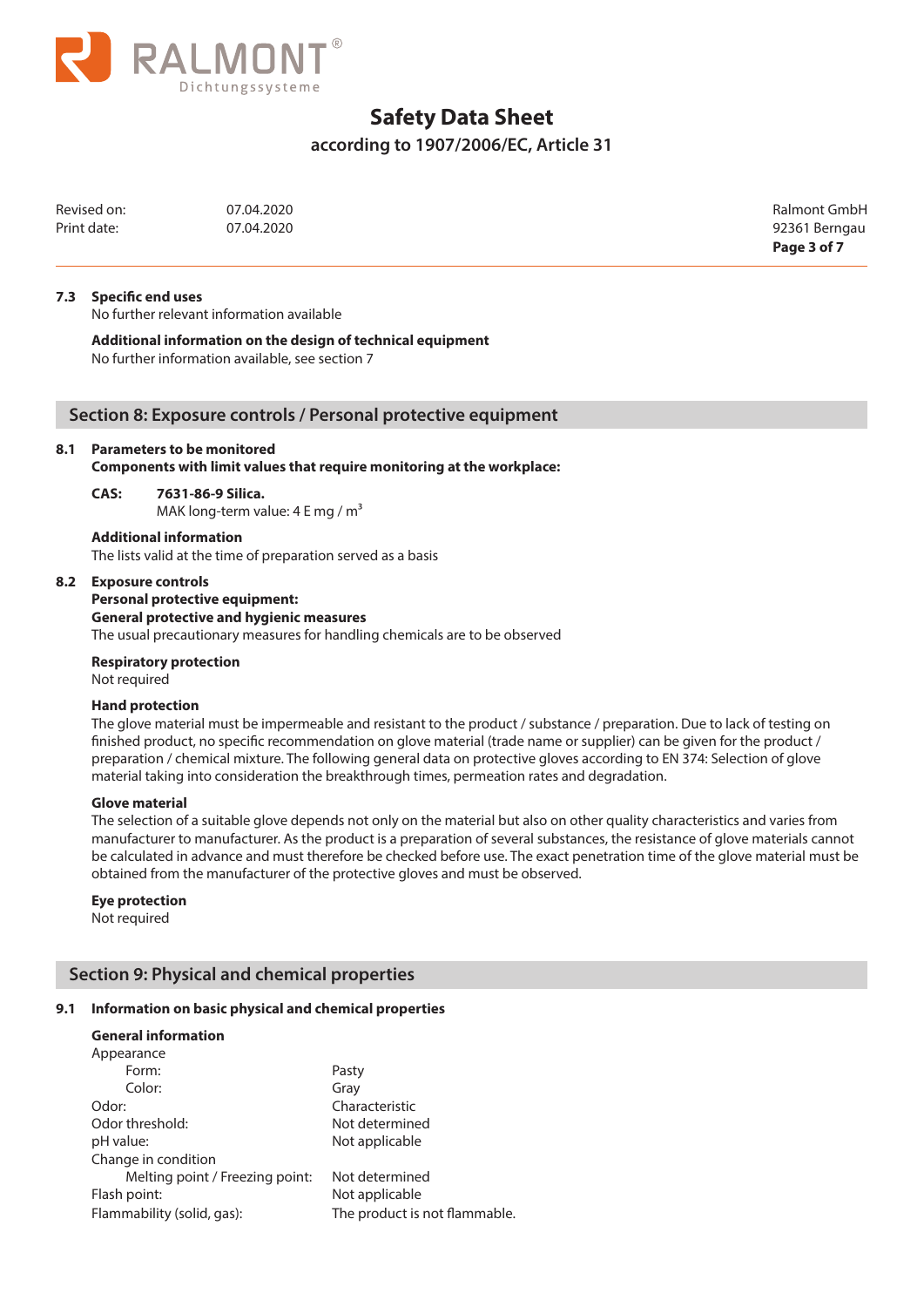

**according to 1907/2006/EC, Article 31**

Revised on: 07.04.2020 Ralmont GmbH Print date: 07.04.2020 07.04.2020

**Page 3 of 7**

### **7.3 Specific end uses**

No further relevant information available

**Additional information on the design of technical equipment**

No further information available, see section 7

# **Section 8: Exposure controls / Personal protective equipment**

### **8.1 Parameters to be monitored**

**Additional information**

**Components with limit values that require monitoring at the workplace:**

### **CAS: 7631-86-9 Silica.**

MAK long-term value:  $4 E mg/m<sup>3</sup>$ 

# **8.2 Exposure controls**

# **Personal protective equipment: General protective and hygienic measures**

The lists valid at the time of preparation served as a basis

The usual precautionary measures for handling chemicals are to be observed

**Respiratory protection** Not required

### **Hand protection**

The glove material must be impermeable and resistant to the product / substance / preparation. Due to lack of testing on finished product, no specific recommendation on glove material (trade name or supplier) can be given for the product / preparation / chemical mixture. The following general data on protective gloves according to EN 374: Selection of glove material taking into consideration the breakthrough times, permeation rates and degradation.

### **Glove material**

The selection of a suitable glove depends not only on the material but also on other quality characteristics and varies from manufacturer to manufacturer. As the product is a preparation of several substances, the resistance of glove materials cannot be calculated in advance and must therefore be checked before use. The exact penetration time of the glove material must be obtained from the manufacturer of the protective gloves and must be observed.

### **Eye protection**

Not required

## **Section 9: Physical and chemical properties**

### **9.1 Information on basic physical and chemical properties**

#### **General information**

| Appearance                      |                               |
|---------------------------------|-------------------------------|
| Form:                           | Pasty                         |
| Color:                          | Gray                          |
| Odor:                           | Characteristic                |
| Odor threshold:                 | Not determined                |
| pH value:                       | Not applicable                |
| Change in condition             |                               |
| Melting point / Freezing point: | Not determined                |
| Flash point:                    | Not applicable                |
| Flammability (solid, gas):      | The product is not flammable. |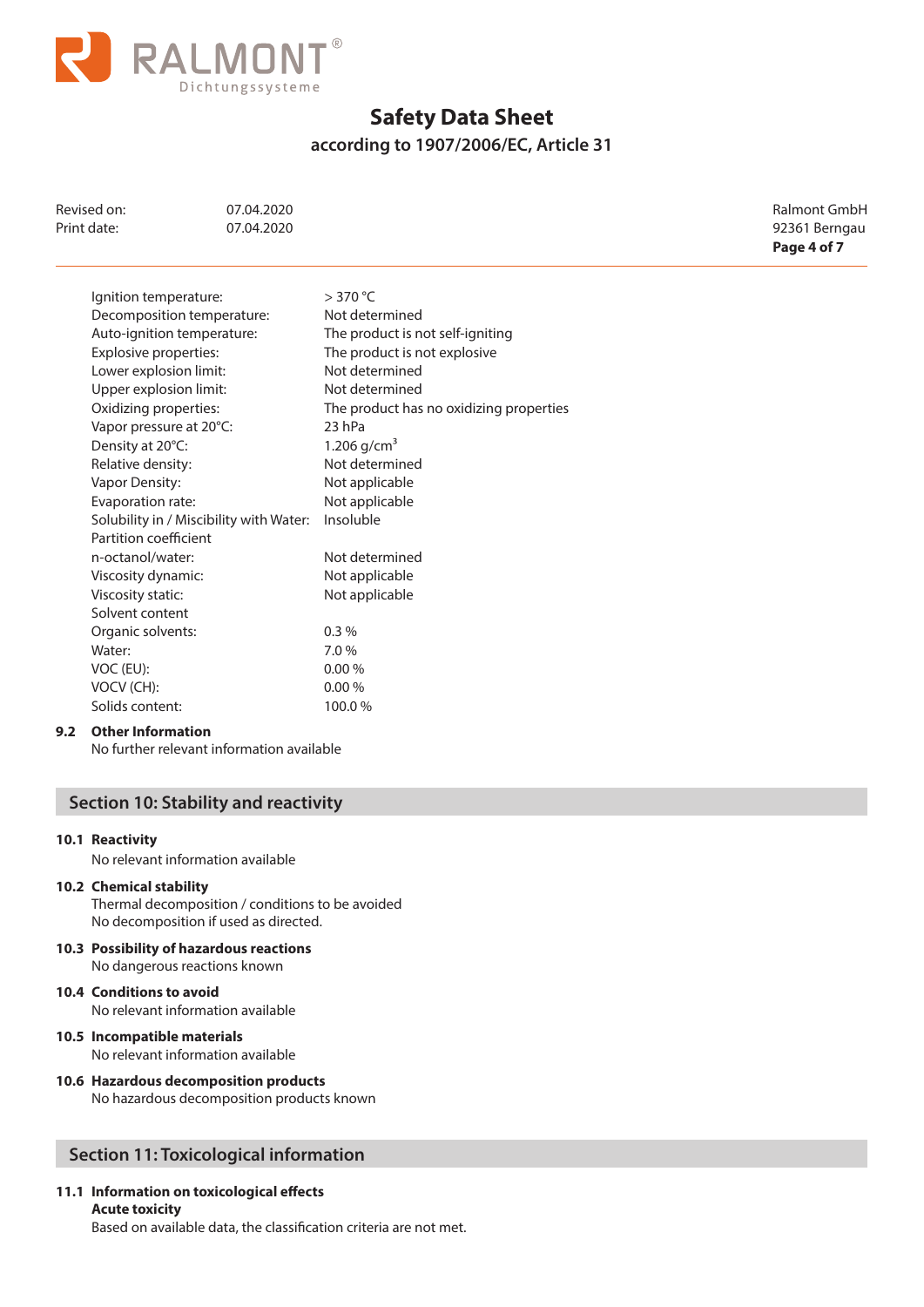

**according to 1907/2006/EC, Article 31**

| Revised on:<br>Print date: | 07.04.2020<br>07.04.2020   |                              | <b>Ralmont GmbH</b><br>92361 Berngau<br>Page 4 of 7 |
|----------------------------|----------------------------|------------------------------|-----------------------------------------------------|
| Ignition temperature:      | Decomposition temperature: | $>$ 370 °C<br>Not determined |                                                     |

| Decomposition temperature:              | Not determined                          |
|-----------------------------------------|-----------------------------------------|
| Auto-ignition temperature:              | The product is not self-igniting        |
| Explosive properties:                   | The product is not explosive            |
| Lower explosion limit:                  | Not determined                          |
| Upper explosion limit:                  | Not determined                          |
| Oxidizing properties:                   | The product has no oxidizing properties |
| Vapor pressure at 20°C:                 | 23 hPa                                  |
| Density at 20°C:                        | 1.206 $q/cm^3$                          |
| Relative density:                       | Not determined                          |
| Vapor Density:                          | Not applicable                          |
| Evaporation rate:                       | Not applicable                          |
| Solubility in / Miscibility with Water: | Insoluble                               |
| Partition coefficient                   |                                         |
| n-octanol/water:                        | Not determined                          |
| Viscosity dynamic:                      | Not applicable                          |
| Viscosity static:                       | Not applicable                          |
| Solvent content                         |                                         |
| Organic solvents:                       | 0.3%                                    |
| Water:                                  | 7.0%                                    |
| VOC (EU):                               | 0.00%                                   |
| VOCV (CH):                              | 0.00%                                   |
| Solids content:                         | 100.0%                                  |

### **9.2 Other Information**

No further relevant information available

# **Section 10: Stability and reactivity**

## **10.1 Reactivity**

No relevant information available

### **10.2 Chemical stability**

Thermal decomposition / conditions to be avoided No decomposition if used as directed.

- **10.3 Possibility of hazardous reactions** No dangerous reactions known
- **10.4 Conditions to avoid** No relevant information available

## **10.5 Incompatible materials** No relevant information available

**10.6 Hazardous decomposition products** No hazardous decomposition products known

# **Section 11: Toxicological information**

# **11.1 Information on toxicological effects**

**Acute toxicity** Based on available data, the classification criteria are not met.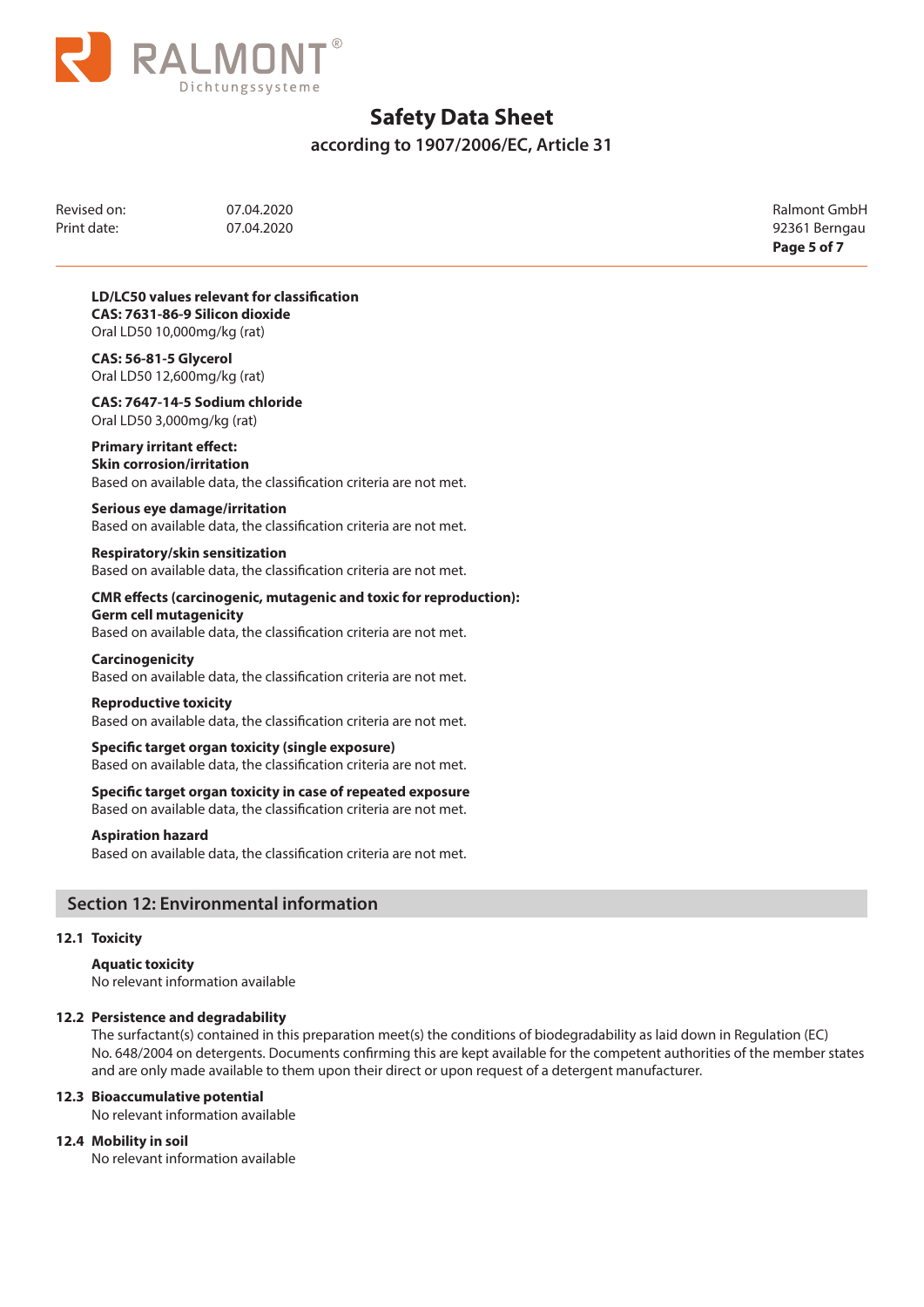

**according to 1907/2006/EC, Article 31**

Revised on: 07.04.2020 Ralmont GmbH Print date: 07.04.2020 07.04.2020 92361 Berngau

**Page 5 of 7**

**LD/LC50 values relevant for classification CAS: 7631-86-9 Silicon dioxide** Oral LD50 10,000mg/kg (rat)

**CAS: 56-81-5 Glycerol** Oral LD50 12,600mg/kg (rat)

**CAS: 7647-14-5 Sodium chloride** Oral LD50 3,000mg/kg (rat)

# **Primary irritant effect:**

**Skin corrosion/irritation** Based on available data, the classification criteria are not met.

## **Serious eye damage/irritation**

Based on available data, the classification criteria are not met.

### **Respiratory/skin sensitization**

Based on available data, the classification criteria are not met.

#### **CMR effects (carcinogenic, mutagenic and toxic for reproduction): Germ cell mutagenicity**

Based on available data, the classification criteria are not met.

# **Carcinogenicity**

Based on available data, the classification criteria are not met.

### **Reproductive toxicity**

Based on available data, the classification criteria are not met.

### **Specific target organ toxicity (single exposure)** Based on available data, the classification criteria are not met.

### **Specific target organ toxicity in case of repeated exposure**

Based on available data, the classification criteria are not met.

### **Aspiration hazard**

Based on available data, the classification criteria are not met.

# **Section 12: Environmental information**

### **12.1 Toxicity**

**Aquatic toxicity** No relevant information available

## **12.2 Persistence and degradability**

 The surfactant(s) contained in this preparation meet(s) the conditions of biodegradability as laid down in Regulation (EC) No. 648/2004 on detergents. Documents confirming this are kept available for the competent authorities of the member states and are only made available to them upon their direct or upon request of a detergent manufacturer.

## **12.3 Bioaccumulative potential**

No relevant information available

## **12.4 Mobility in soil**

No relevant information available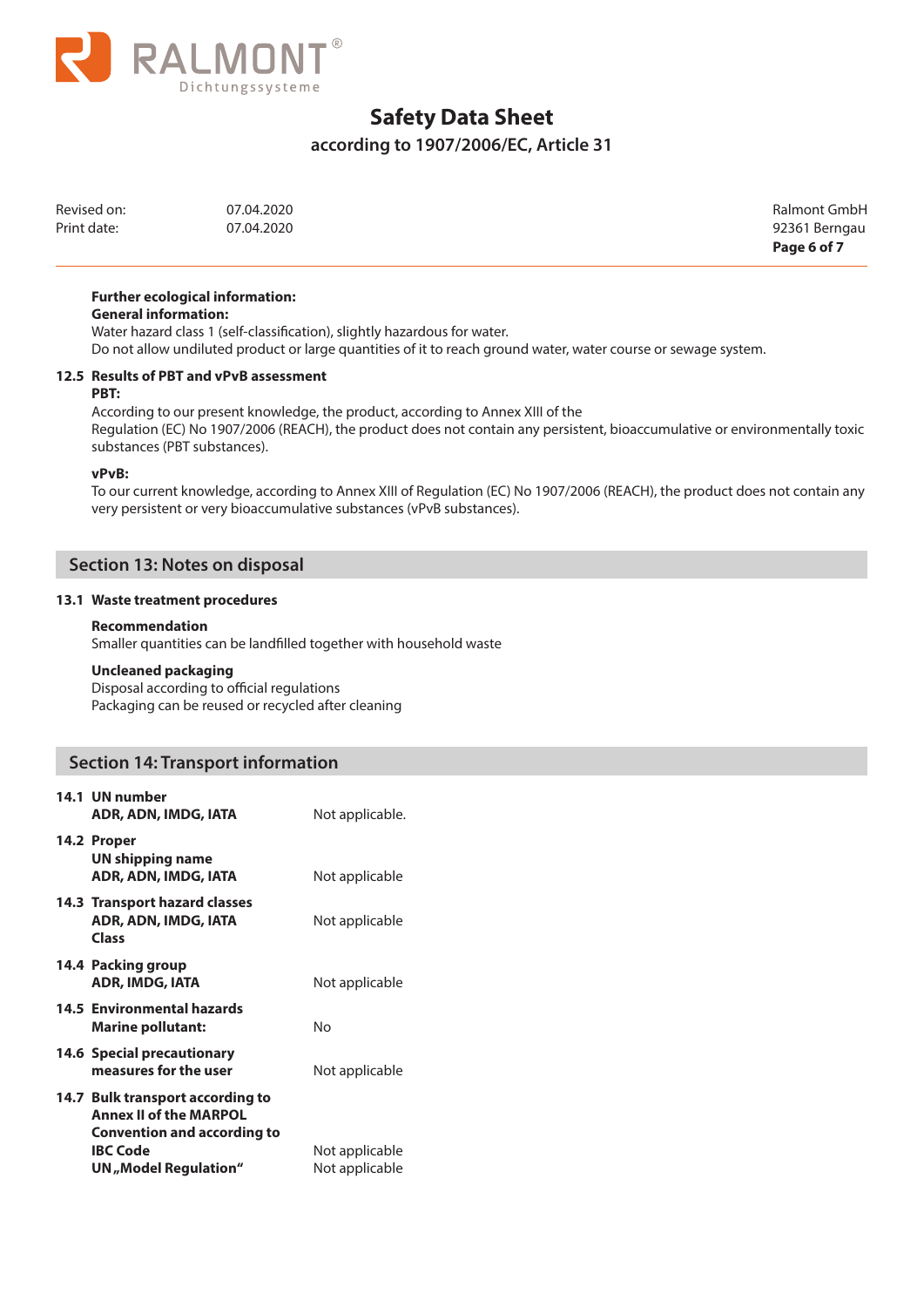

# **according to 1907/2006/EC, Article 31**

| Revised on: | 07.04.2020 | Ralmont GmbH  |
|-------------|------------|---------------|
| Print date: | 07.04.2020 | 92361 Berngau |

Print date: 07.04.2020 92361 Berngau **Page 6 of 7**

### **Further ecological information:**

### **General information:**

Water hazard class 1 (self-classification), slightly hazardous for water.

Do not allow undiluted product or large quantities of it to reach ground water, water course or sewage system.

#### **12.5 Results of PBT and vPvB assessment PBT:**

According to our present knowledge, the product, according to Annex XIII of the Regulation (EC) No 1907/2006 (REACH), the product does not contain any persistent, bioaccumulative or environmentally toxic substances (PBT substances).

### **vPvB:**

To our current knowledge, according to Annex XIII of Regulation (EC) No 1907/2006 (REACH), the product does not contain any very persistent or very bioaccumulative substances (vPvB substances).

# **Section 13: Notes on disposal**

### **13.1 Waste treatment procedures**

### **Recommendation**

Smaller quantities can be landfilled together with household waste

## **Uncleaned packaging**

Disposal according to official regulations Packaging can be reused or recycled after cleaning

# **Section 14: Transport information**

| 14.1 UN number<br>ADR, ADN, IMDG, IATA                                                                                                              | Not applicable.                  |
|-----------------------------------------------------------------------------------------------------------------------------------------------------|----------------------------------|
| 14.2 Proper<br>UN shipping name<br>ADR, ADN, IMDG, IATA                                                                                             | Not applicable                   |
| 14.3 Transport hazard classes<br>ADR, ADN, IMDG, IATA<br>Class                                                                                      | Not applicable                   |
| 14.4 Packing group<br><b>ADR, IMDG, IATA</b>                                                                                                        | Not applicable                   |
| 14.5 Environmental hazards<br><b>Marine pollutant:</b>                                                                                              | N٥                               |
| 14.6 Special precautionary<br>measures for the user                                                                                                 | Not applicable                   |
| 14.7 Bulk transport according to<br><b>Annex II of the MARPOL</b><br><b>Convention and according to</b><br><b>IBC Code</b><br>UN, Model Regulation" | Not applicable<br>Not applicable |
|                                                                                                                                                     |                                  |